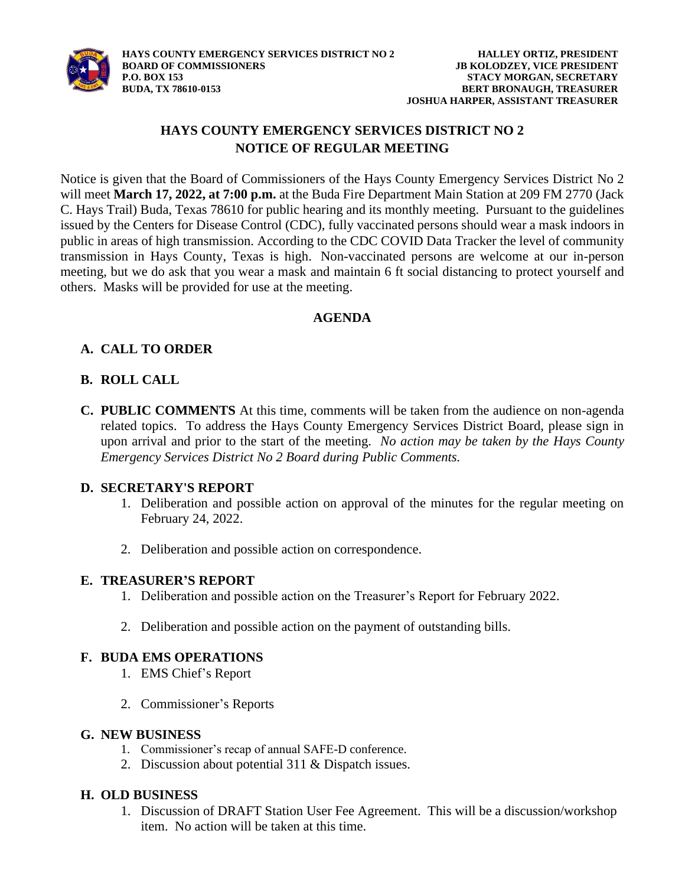

### **HAYS COUNTY EMERGENCY SERVICES DISTRICT NO 2 NOTICE OF REGULAR MEETING**

Notice is given that the Board of Commissioners of the Hays County Emergency Services District No 2 will meet **March 17, 2022, at 7:00 p.m.** at the Buda Fire Department Main Station at 209 FM 2770 (Jack C. Hays Trail) Buda, Texas 78610 for public hearing and its monthly meeting. Pursuant to the guidelines issued by the Centers for Disease Control (CDC), fully vaccinated persons should wear a mask indoors in public in areas of high transmission. According to the CDC COVID Data Tracker the level of community transmission in Hays County, Texas is high. Non-vaccinated persons are welcome at our in-person meeting, but we do ask that you wear a mask and maintain 6 ft social distancing to protect yourself and others. Masks will be provided for use at the meeting.

#### **AGENDA**

#### **A. CALL TO ORDER**

#### **B. ROLL CALL**

**C. PUBLIC COMMENTS** At this time, comments will be taken from the audience on non-agenda related topics. To address the Hays County Emergency Services District Board, please sign in upon arrival and prior to the start of the meeting. *No action may be taken by the Hays County Emergency Services District No 2 Board during Public Comments.*

#### **D. SECRETARY'S REPORT**

- 1. Deliberation and possible action on approval of the minutes for the regular meeting on February 24, 2022.
- 2. Deliberation and possible action on correspondence.

#### **E. TREASURER'S REPORT**

- 1. Deliberation and possible action on the Treasurer's Report for February 2022.
- 2. Deliberation and possible action on the payment of outstanding bills.

#### **F. BUDA EMS OPERATIONS**

- 1. EMS Chief's Report
- 2. Commissioner's Reports

#### **G. NEW BUSINESS**

- 1. Commissioner's recap of annual SAFE-D conference.
- 2. Discussion about potential 311 & Dispatch issues.

#### **H. OLD BUSINESS**

1. Discussion of DRAFT Station User Fee Agreement. This will be a discussion/workshop item. No action will be taken at this time.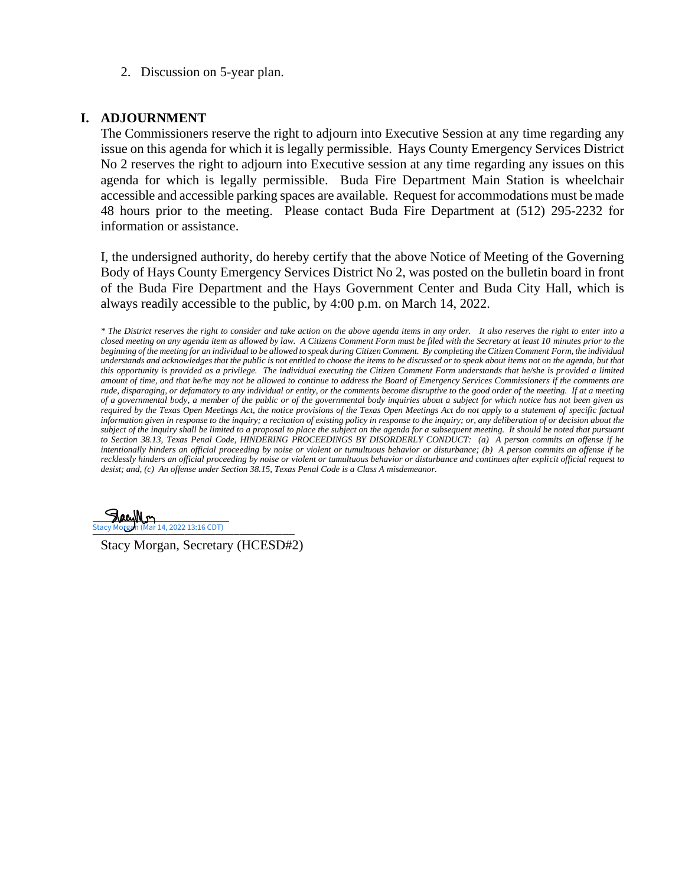2. Discussion on 5-year plan.

#### **I. ADJOURNMENT**

The Commissioners reserve the right to adjourn into Executive Session at any time regarding any issue on this agenda for which it is legally permissible. Hays County Emergency Services District No 2 reserves the right to adjourn into Executive session at any time regarding any issues on this agenda for which is legally permissible. Buda Fire Department Main Station is wheelchair accessible and accessible parking spaces are available. Request for accommodations must be made 48 hours prior to the meeting. Please contact Buda Fire Department at (512) 295-2232 for information or assistance.

I, the undersigned authority, do hereby certify that the above Notice of Meeting of the Governing Body of Hays County Emergency Services District No 2, was posted on the bulletin board in front of the Buda Fire Department and the Hays Government Center and Buda City Hall, which is always readily accessible to the public, by 4:00 p.m. on March 14, 2022.

*\* The District reserves the right to consider and take action on the above agenda items in any order. It also reserves the right to enter into a closed meeting on any agenda item as allowed by law. A Citizens Comment Form must be filed with the Secretary at least 10 minutes prior to the*  beginning of the meeting for an individual to be allowed to speak during Citizen Comment. By completing the Citizen Comment Form, the individual *understands and acknowledges that the public is not entitled to choose the items to be discussed or to speak about items not on the agenda, but that this opportunity is provided as a privilege. The individual executing the Citizen Comment Form understands that he/she is provided a limited amount of time, and that he/he may not be allowed to continue to address the Board of Emergency Services Commissioners if the comments are rude, disparaging, or defamatory to any individual or entity, or the comments become disruptive to the good order of the meeting. If at a meeting of a governmental body, a member of the public or of the governmental body inquiries about a subject for which notice has not been given as required by the Texas Open Meetings Act, the notice provisions of the Texas Open Meetings Act do not apply to a statement of specific factual information given in response to the inquiry; a recitation of existing policy in response to the inquiry; or, any deliberation of or decision about the* subject of the inquiry shall be limited to a proposal to place the subject on the agenda for a subsequent meeting. It should be noted that pursuant *to Section 38.13, Texas Penal Code, HINDERING PROCEEDINGS BY DISORDERLY CONDUCT: (a) A person commits an offense if he intentionally hinders an official proceeding by noise or violent or tumultuous behavior or disturbance; (b) A person commits an offense if he recklessly hinders an official proceeding by noise or violent or tumultuous behavior or disturbance and continues after explicit official request to desist; and, (c) An offense under Section 38.15, Texas Penal Code is a Class A misdemeanor.*

Stacy Morgan (Mar 14, 2022 13:16 CDT)

Stacy Morgan, Secretary (HCESD#2)